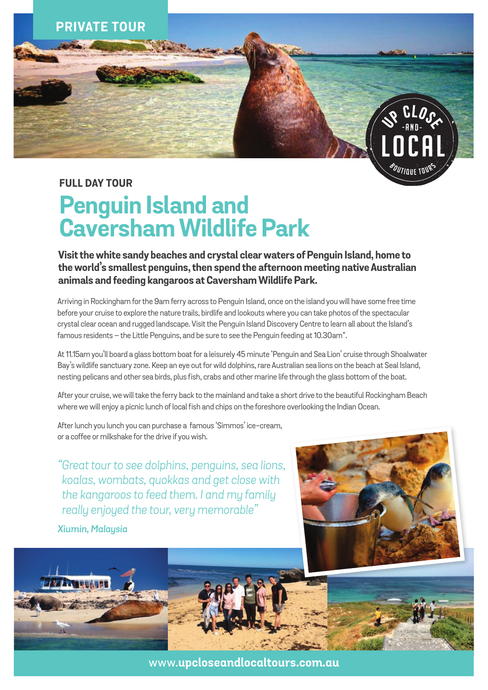

### **FULL DAY TOUR**

# **Penguin Island and Caversham Wildlife Park**

**Visit the white sandy beaches and crystal clear waters of Penguin Island, home to the world's smallest penguins, then spend the afternoon meeting native Australian animals and feeding kangaroos at Caversham Wildlife Park.** 

Arriving in Rockingham for the 9am ferry across to Penguin Island, once on the island you will have some free time before your cruise to explore the nature trails, birdlife and lookouts where you can take photos of the spectacular crystal clear ocean and rugged landscape. Visit the Penguin Island Discovery Centre to learn all about the Island's famous residents – the Little Penguins, and be sure to see the Penguin feeding at 10.30am\*.

At 11.15am you'll board a glass bottom boat for a leisurely 45 minute 'Penguin and Sea Lion' cruise through Shoalwater Bay's wildlife sanctuary zone. Keep an eye out for wild dolphins, rare Australian sea lions on the beach at Seal Island, nesting pelicans and other sea birds, plus fish, crabs and other marine life through the glass bottom of the boat.

After your cruise, we will take the ferry back to the mainland and take a short drive to the beautiful Rockingham Beach where we will enjoy a picnic lunch of local fish and chips on the foreshore overlooking the Indian Ocean.

After lunch you lunch you can purchase a famous 'Simmos' ice-cream, or a coffee or milkshake for the drive if you wish.

*"Great tour to see dolphins, penguins, sea lions, koalas, wombats, quokkas and get close with the kangaroos to feed them. I and my family really enjoyed the tour, very memorable"*

*Xiumin, Malaysia*





www.**upcloseandlocaltours.com.au**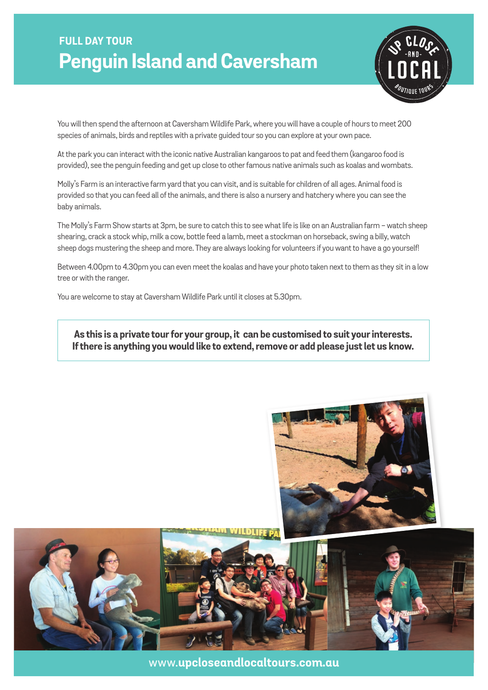## **FULL DAY TOUR Penguin Island and Caversham**



You will then spend the afternoon at Caversham Wildlife Park, where you will have a couple of hours to meet 200 species of animals, birds and reptiles with a private guided tour so you can explore at your own pace.

At the park you can interact with the iconic native Australian kangaroos to pat and feed them (kangaroo food is provided), see the penguin feeding and get up close to other famous native animals such as koalas and wombats.

Molly's Farm is an interactive farm yard that you can visit, and is suitable for children of all ages. Animal food is provided so that you can feed all of the animals, and there is also a nursery and hatchery where you can see the baby animals.

The Molly's Farm Show starts at 3pm, be sure to catch this to see what life is like on an Australian farm - watch sheep shearing, crack a stock whip, milk a cow, bottle feed a lamb, meet a stockman on horseback, swing a billy, watch sheep dogs mustering the sheep and more. They are always looking for volunteers if you want to have a go yourself!

Between 4.00pm to 4.30pm you can even meet the koalas and have your photo taken next to them as they sit in a low tree or with the ranger.

You are welcome to stay at Caversham Wildlife Park until it closes at 5.30pm.

**As this is a private tour for your group, it can be customised to suit your interests. If there is anything you would like to extend, remove or add please just let us know.**



www.**upcloseandlocaltours.com.au**